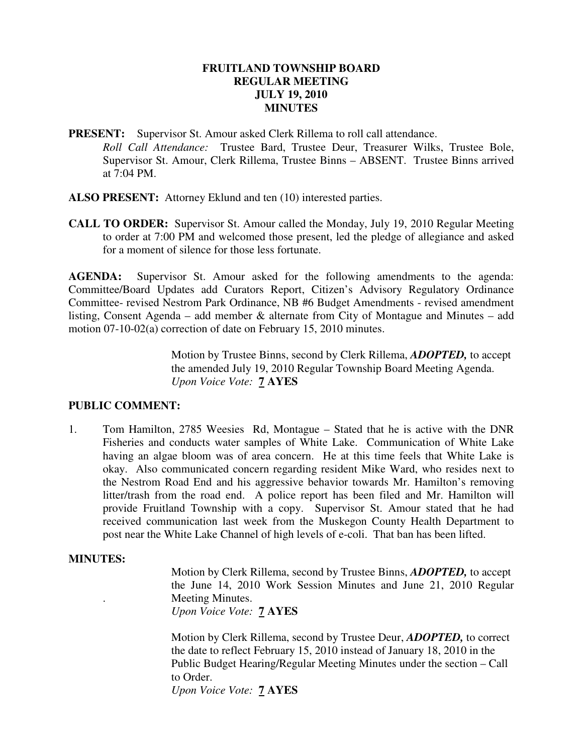#### **FRUITLAND TOWNSHIP BOARD REGULAR MEETING JULY 19, 2010 MINUTES**

**PRESENT:** Supervisor St. Amour asked Clerk Rillema to roll call attendance. *Roll Call Attendance:* Trustee Bard, Trustee Deur, Treasurer Wilks, Trustee Bole, Supervisor St. Amour, Clerk Rillema, Trustee Binns – ABSENT. Trustee Binns arrived at 7:04 PM.

- **ALSO PRESENT:** Attorney Eklund and ten (10) interested parties.
- **CALL TO ORDER:** Supervisor St. Amour called the Monday, July 19, 2010 Regular Meeting to order at 7:00 PM and welcomed those present, led the pledge of allegiance and asked for a moment of silence for those less fortunate.

**AGENDA:** Supervisor St. Amour asked for the following amendments to the agenda: Committee/Board Updates add Curators Report, Citizen's Advisory Regulatory Ordinance Committee- revised Nestrom Park Ordinance, NB #6 Budget Amendments - revised amendment listing, Consent Agenda – add member & alternate from City of Montague and Minutes – add motion 07-10-02(a) correction of date on February 15, 2010 minutes.

> Motion by Trustee Binns, second by Clerk Rillema, *ADOPTED,* to accept the amended July 19, 2010 Regular Township Board Meeting Agenda. *Upon Voice Vote:* **7 AYES**

## **PUBLIC COMMENT:**

1. Tom Hamilton, 2785 Weesies Rd, Montague – Stated that he is active with the DNR Fisheries and conducts water samples of White Lake. Communication of White Lake having an algae bloom was of area concern. He at this time feels that White Lake is okay. Also communicated concern regarding resident Mike Ward, who resides next to the Nestrom Road End and his aggressive behavior towards Mr. Hamilton's removing litter/trash from the road end. A police report has been filed and Mr. Hamilton will provide Fruitland Township with a copy. Supervisor St. Amour stated that he had received communication last week from the Muskegon County Health Department to post near the White Lake Channel of high levels of e-coli. That ban has been lifted.

#### **MINUTES:**

Motion by Clerk Rillema, second by Trustee Binns, *ADOPTED,* to accept the June 14, 2010 Work Session Minutes and June 21, 2010 Regular . Meeting Minutes. *Upon Voice Vote:* **7 AYES** 

Motion by Clerk Rillema, second by Trustee Deur, *ADOPTED,* to correct the date to reflect February 15, 2010 instead of January 18, 2010 in the Public Budget Hearing/Regular Meeting Minutes under the section – Call to Order. *Upon Voice Vote:* **7 AYES**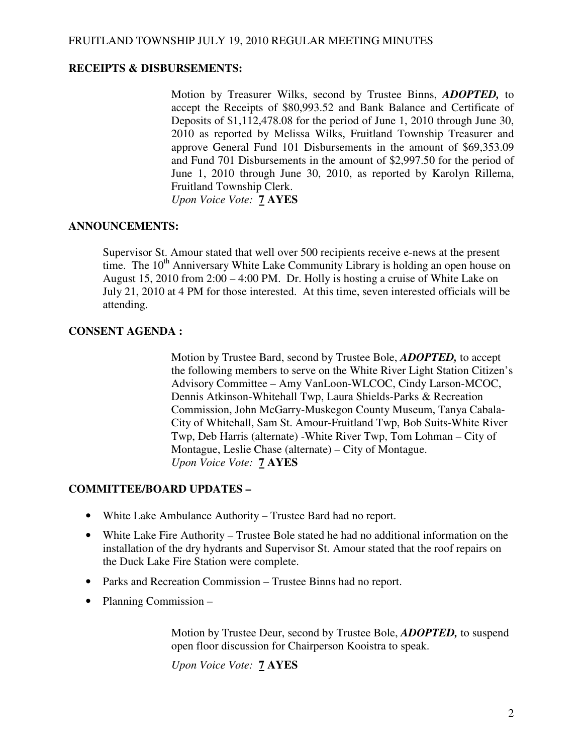## **RECEIPTS & DISBURSEMENTS:**

Motion by Treasurer Wilks, second by Trustee Binns, *ADOPTED,* to accept the Receipts of \$80,993.52 and Bank Balance and Certificate of Deposits of \$1,112,478.08 for the period of June 1, 2010 through June 30, 2010 as reported by Melissa Wilks, Fruitland Township Treasurer and approve General Fund 101 Disbursements in the amount of \$69,353.09 and Fund 701 Disbursements in the amount of \$2,997.50 for the period of June 1, 2010 through June 30, 2010, as reported by Karolyn Rillema, Fruitland Township Clerk. *Upon Voice Vote:* **7 AYES** 

### **ANNOUNCEMENTS:**

Supervisor St. Amour stated that well over 500 recipients receive e-news at the present time. The  $10^{th}$  Anniversary White Lake Community Library is holding an open house on August 15, 2010 from 2:00 – 4:00 PM. Dr. Holly is hosting a cruise of White Lake on July 21, 2010 at 4 PM for those interested. At this time, seven interested officials will be attending.

### **CONSENT AGENDA :**

Motion by Trustee Bard, second by Trustee Bole, *ADOPTED,* to accept the following members to serve on the White River Light Station Citizen's Advisory Committee – Amy VanLoon-WLCOC, Cindy Larson-MCOC, Dennis Atkinson-Whitehall Twp, Laura Shields-Parks & Recreation Commission, John McGarry-Muskegon County Museum, Tanya Cabala- City of Whitehall, Sam St. Amour-Fruitland Twp, Bob Suits-White River Twp, Deb Harris (alternate) -White River Twp, Tom Lohman – City of Montague, Leslie Chase (alternate) – City of Montague. *Upon Voice Vote:* **7 AYES** 

#### **COMMITTEE/BOARD UPDATES –**

- White Lake Ambulance Authority Trustee Bard had no report.
- White Lake Fire Authority Trustee Bole stated he had no additional information on the installation of the dry hydrants and Supervisor St. Amour stated that the roof repairs on the Duck Lake Fire Station were complete.
- Parks and Recreation Commission Trustee Binns had no report.
- Planning Commission –

 Motion by Trustee Deur, second by Trustee Bole, *ADOPTED,* to suspend open floor discussion for Chairperson Kooistra to speak.

*Upon Voice Vote:* **7 AYES**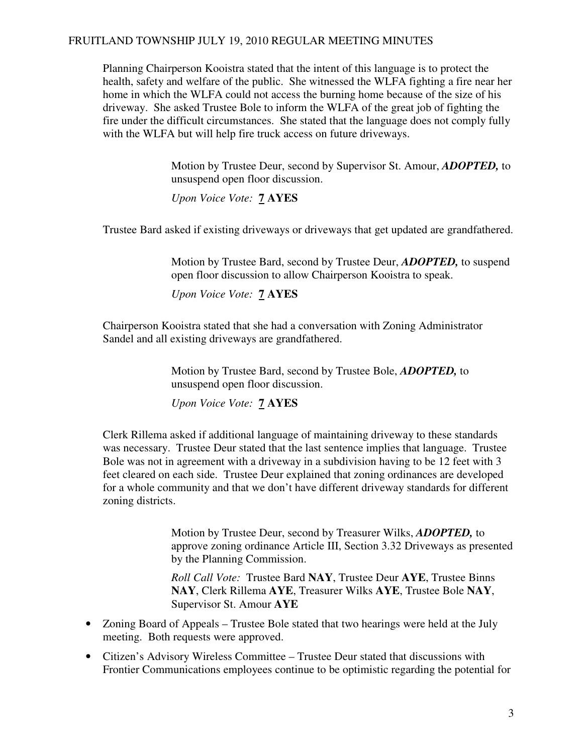Planning Chairperson Kooistra stated that the intent of this language is to protect the health, safety and welfare of the public. She witnessed the WLFA fighting a fire near her home in which the WLFA could not access the burning home because of the size of his driveway. She asked Trustee Bole to inform the WLFA of the great job of fighting the fire under the difficult circumstances. She stated that the language does not comply fully with the WLFA but will help fire truck access on future driveways.

> Motion by Trustee Deur, second by Supervisor St. Amour, *ADOPTED,* to unsuspend open floor discussion.

*Upon Voice Vote:* **7 AYES** 

Trustee Bard asked if existing driveways or driveways that get updated are grandfathered.

 Motion by Trustee Bard, second by Trustee Deur, *ADOPTED,* to suspend open floor discussion to allow Chairperson Kooistra to speak.

*Upon Voice Vote:* **7 AYES** 

 Chairperson Kooistra stated that she had a conversation with Zoning Administrator Sandel and all existing driveways are grandfathered.

> Motion by Trustee Bard, second by Trustee Bole, *ADOPTED,* to unsuspend open floor discussion.

*Upon Voice Vote:* **7 AYES** 

 Clerk Rillema asked if additional language of maintaining driveway to these standards was necessary. Trustee Deur stated that the last sentence implies that language. Trustee Bole was not in agreement with a driveway in a subdivision having to be 12 feet with 3 feet cleared on each side. Trustee Deur explained that zoning ordinances are developed for a whole community and that we don't have different driveway standards for different zoning districts.

> Motion by Trustee Deur, second by Treasurer Wilks, *ADOPTED,* to approve zoning ordinance Article III, Section 3.32 Driveways as presented by the Planning Commission.

 *Roll Call Vote:* Trustee Bard **NAY**, Trustee Deur **AYE**, Trustee Binns **NAY**, Clerk Rillema **AYE**, Treasurer Wilks **AYE**, Trustee Bole **NAY**, Supervisor St. Amour **AYE** 

- Zoning Board of Appeals Trustee Bole stated that two hearings were held at the July meeting. Both requests were approved.
- Citizen's Advisory Wireless Committee Trustee Deur stated that discussions with Frontier Communications employees continue to be optimistic regarding the potential for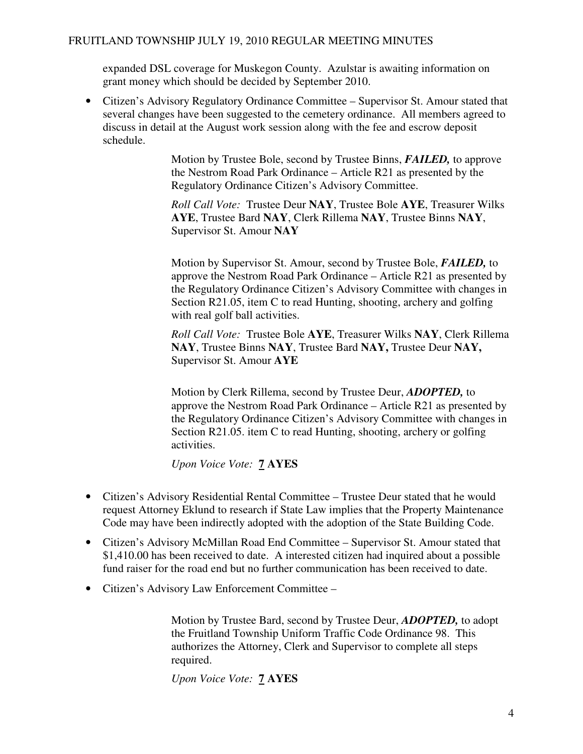expanded DSL coverage for Muskegon County. Azulstar is awaiting information on grant money which should be decided by September 2010.

• Citizen's Advisory Regulatory Ordinance Committee – Supervisor St. Amour stated that several changes have been suggested to the cemetery ordinance. All members agreed to discuss in detail at the August work session along with the fee and escrow deposit schedule.

> Motion by Trustee Bole, second by Trustee Binns, *FAILED,* to approve the Nestrom Road Park Ordinance – Article R21 as presented by the Regulatory Ordinance Citizen's Advisory Committee.

> *Roll Call Vote:* Trustee Deur **NAY**, Trustee Bole **AYE**, Treasurer Wilks **AYE**, Trustee Bard **NAY**, Clerk Rillema **NAY**, Trustee Binns **NAY**, Supervisor St. Amour **NAY**

Motion by Supervisor St. Amour, second by Trustee Bole, *FAILED,* to approve the Nestrom Road Park Ordinance – Article R21 as presented by the Regulatory Ordinance Citizen's Advisory Committee with changes in Section R21.05, item C to read Hunting, shooting, archery and golfing with real golf ball activities.

 *Roll Call Vote:* Trustee Bole **AYE**, Treasurer Wilks **NAY**, Clerk Rillema **NAY**, Trustee Binns **NAY**, Trustee Bard **NAY,** Trustee Deur **NAY,** Supervisor St. Amour **AYE** 

 Motion by Clerk Rillema, second by Trustee Deur, *ADOPTED,* to approve the Nestrom Road Park Ordinance – Article R21 as presented by the Regulatory Ordinance Citizen's Advisory Committee with changes in Section R21.05. item C to read Hunting, shooting, archery or golfing activities.

*Upon Voice Vote:* **7 AYES** 

- Citizen's Advisory Residential Rental Committee Trustee Deur stated that he would request Attorney Eklund to research if State Law implies that the Property Maintenance Code may have been indirectly adopted with the adoption of the State Building Code.
- Citizen's Advisory McMillan Road End Committee Supervisor St. Amour stated that \$1,410.00 has been received to date. A interested citizen had inquired about a possible fund raiser for the road end but no further communication has been received to date.
- Citizen's Advisory Law Enforcement Committee –

 Motion by Trustee Bard, second by Trustee Deur, *ADOPTED,* to adopt the Fruitland Township Uniform Traffic Code Ordinance 98. This authorizes the Attorney, Clerk and Supervisor to complete all steps required.

*Upon Voice Vote:* **7 AYES**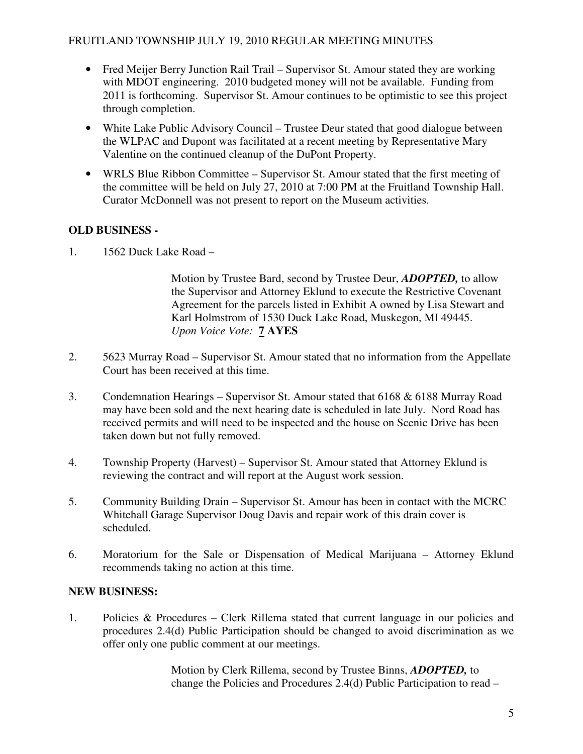- Fred Meijer Berry Junction Rail Trail Supervisor St. Amour stated they are working with MDOT engineering. 2010 budgeted money will not be available. Funding from 2011 is forthcoming. Supervisor St. Amour continues to be optimistic to see this project through completion.
- White Lake Public Advisory Council Trustee Deur stated that good dialogue between the WLPAC and Dupont was facilitated at a recent meeting by Representative Mary Valentine on the continued cleanup of the DuPont Property.
- WRLS Blue Ribbon Committee Supervisor St. Amour stated that the first meeting of the committee will be held on July 27, 2010 at 7:00 PM at the Fruitland Township Hall. Curator McDonnell was not present to report on the Museum activities.

# **OLD BUSINESS -**

1. 1562 Duck Lake Road –

 Motion by Trustee Bard, second by Trustee Deur, *ADOPTED,* to allow the Supervisor and Attorney Eklund to execute the Restrictive Covenant Agreement for the parcels listed in Exhibit A owned by Lisa Stewart and Karl Holmstrom of 1530 Duck Lake Road, Muskegon, MI 49445. *Upon Voice Vote:* **7 AYES**

- 2. 5623 Murray Road Supervisor St. Amour stated that no information from the Appellate Court has been received at this time.
- 3. Condemnation Hearings Supervisor St. Amour stated that 6168 & 6188 Murray Road may have been sold and the next hearing date is scheduled in late July. Nord Road has received permits and will need to be inspected and the house on Scenic Drive has been taken down but not fully removed.
- 4. Township Property (Harvest) Supervisor St. Amour stated that Attorney Eklund is reviewing the contract and will report at the August work session.
- 5. Community Building Drain Supervisor St. Amour has been in contact with the MCRC Whitehall Garage Supervisor Doug Davis and repair work of this drain cover is scheduled.
- 6. Moratorium for the Sale or Dispensation of Medical Marijuana Attorney Eklund recommends taking no action at this time.

## **NEW BUSINESS:**

1. Policies & Procedures – Clerk Rillema stated that current language in our policies and procedures 2.4(d) Public Participation should be changed to avoid discrimination as we offer only one public comment at our meetings.

> Motion by Clerk Rillema, second by Trustee Binns, *ADOPTED,* to change the Policies and Procedures 2.4(d) Public Participation to read –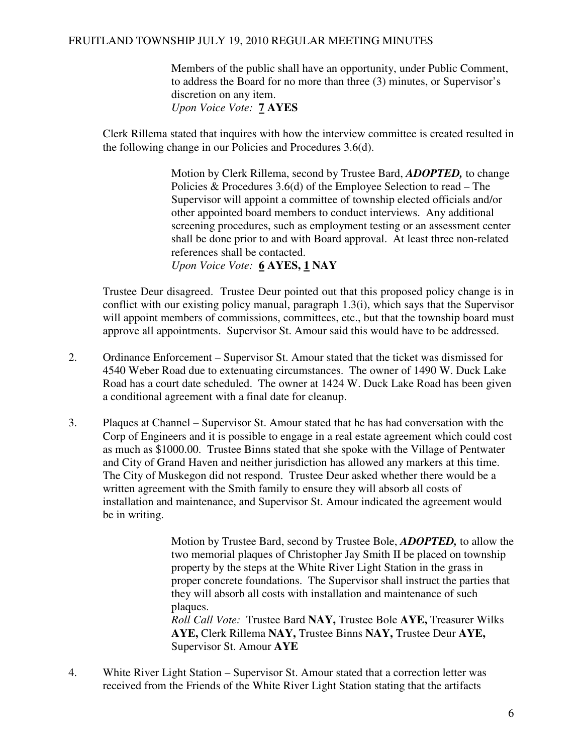Members of the public shall have an opportunity, under Public Comment, to address the Board for no more than three (3) minutes, or Supervisor's discretion on any item. *Upon Voice Vote:* **7 AYES** 

 Clerk Rillema stated that inquires with how the interview committee is created resulted in the following change in our Policies and Procedures 3.6(d).

> Motion by Clerk Rillema, second by Trustee Bard, *ADOPTED,* to change Policies & Procedures 3.6(d) of the Employee Selection to read – The Supervisor will appoint a committee of township elected officials and/or other appointed board members to conduct interviews. Any additional screening procedures, such as employment testing or an assessment center shall be done prior to and with Board approval. At least three non-related references shall be contacted.

*Upon Voice Vote:* **6 AYES, 1 NAY** 

 Trustee Deur disagreed. Trustee Deur pointed out that this proposed policy change is in conflict with our existing policy manual, paragraph 1.3(i), which says that the Supervisor will appoint members of commissions, committees, etc., but that the township board must approve all appointments. Supervisor St. Amour said this would have to be addressed.

- 2. Ordinance Enforcement Supervisor St. Amour stated that the ticket was dismissed for 4540 Weber Road due to extenuating circumstances. The owner of 1490 W. Duck Lake Road has a court date scheduled. The owner at 1424 W. Duck Lake Road has been given a conditional agreement with a final date for cleanup.
- 3. Plaques at Channel Supervisor St. Amour stated that he has had conversation with the Corp of Engineers and it is possible to engage in a real estate agreement which could cost as much as \$1000.00. Trustee Binns stated that she spoke with the Village of Pentwater and City of Grand Haven and neither jurisdiction has allowed any markers at this time. The City of Muskegon did not respond. Trustee Deur asked whether there would be a written agreement with the Smith family to ensure they will absorb all costs of installation and maintenance, and Supervisor St. Amour indicated the agreement would be in writing.

 Motion by Trustee Bard, second by Trustee Bole, *ADOPTED,* to allow the two memorial plaques of Christopher Jay Smith II be placed on township property by the steps at the White River Light Station in the grass in proper concrete foundations. The Supervisor shall instruct the parties that they will absorb all costs with installation and maintenance of such plaques.

 *Roll Call Vote:* Trustee Bard **NAY,** Trustee Bole **AYE,** Treasurer Wilks **AYE,** Clerk Rillema **NAY,** Trustee Binns **NAY,** Trustee Deur **AYE,** Supervisor St. Amour **AYE** 

4. White River Light Station – Supervisor St. Amour stated that a correction letter was received from the Friends of the White River Light Station stating that the artifacts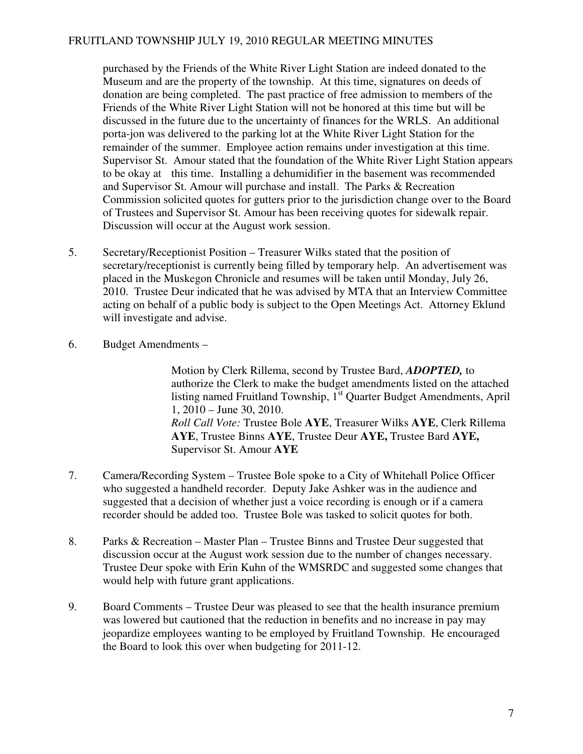purchased by the Friends of the White River Light Station are indeed donated to the Museum and are the property of the township. At this time, signatures on deeds of donation are being completed. The past practice of free admission to members of the Friends of the White River Light Station will not be honored at this time but will be discussed in the future due to the uncertainty of finances for the WRLS. An additional porta-jon was delivered to the parking lot at the White River Light Station for the remainder of the summer. Employee action remains under investigation at this time. Supervisor St. Amour stated that the foundation of the White River Light Station appears to be okay at this time. Installing a dehumidifier in the basement was recommended and Supervisor St. Amour will purchase and install. The Parks & Recreation Commission solicited quotes for gutters prior to the jurisdiction change over to the Board of Trustees and Supervisor St. Amour has been receiving quotes for sidewalk repair. Discussion will occur at the August work session.

- 5. Secretary/Receptionist Position Treasurer Wilks stated that the position of secretary/receptionist is currently being filled by temporary help. An advertisement was placed in the Muskegon Chronicle and resumes will be taken until Monday, July 26, 2010. Trustee Deur indicated that he was advised by MTA that an Interview Committee acting on behalf of a public body is subject to the Open Meetings Act. Attorney Eklund will investigate and advise.
- 6. Budget Amendments –

 Motion by Clerk Rillema, second by Trustee Bard, *ADOPTED,* to authorize the Clerk to make the budget amendments listed on the attached listing named Fruitland Township,  $1<sup>st</sup>$  Quarter Budget Amendments, April 1, 2010 – June 30, 2010. *Roll Call Vote:* Trustee Bole **AYE**, Treasurer Wilks **AYE**, Clerk Rillema **AYE**, Trustee Binns **AYE**, Trustee Deur **AYE,** Trustee Bard **AYE,** Supervisor St. Amour **AYE**

- 7. Camera/Recording System Trustee Bole spoke to a City of Whitehall Police Officer who suggested a handheld recorder. Deputy Jake Ashker was in the audience and suggested that a decision of whether just a voice recording is enough or if a camera recorder should be added too. Trustee Bole was tasked to solicit quotes for both.
- 8. Parks & Recreation Master Plan Trustee Binns and Trustee Deur suggested that discussion occur at the August work session due to the number of changes necessary. Trustee Deur spoke with Erin Kuhn of the WMSRDC and suggested some changes that would help with future grant applications.
- 9. Board Comments Trustee Deur was pleased to see that the health insurance premium was lowered but cautioned that the reduction in benefits and no increase in pay may jeopardize employees wanting to be employed by Fruitland Township. He encouraged the Board to look this over when budgeting for 2011-12.